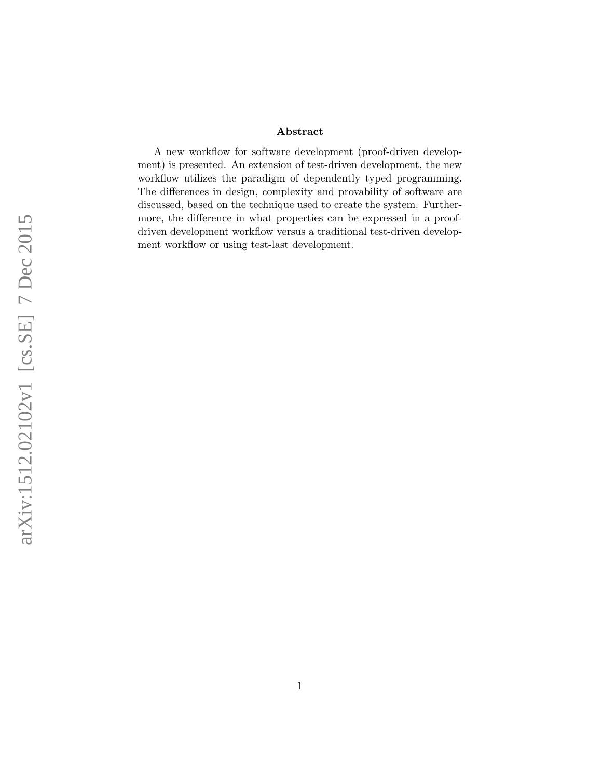#### Abstract

A new workflow for software development (proof-driven development) is presented. An extension of test-driven development, the new workflow utilizes the paradigm of dependently typed programming. The differences in design, complexity and provability of software are discussed, based on the technique used to create the system. Furthermore, the difference in what properties can be expressed in a proofdriven development workflow versus a traditional test-driven development workflow or using test-last development.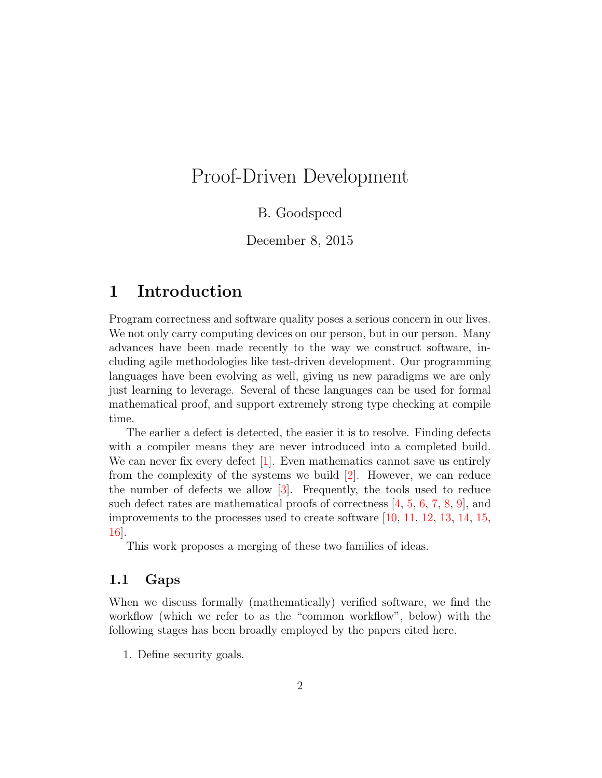# Proof-Driven Development

### B. Goodspeed

December 8, 2015

## 1 Introduction

Program correctness and software quality poses a serious concern in our lives. We not only carry computing devices on our person, but in our person. Many advances have been made recently to the way we construct software, including agile methodologies like test-driven development. Our programming languages have been evolving as well, giving us new paradigms we are only just learning to leverage. Several of these languages can be used for formal mathematical proof, and support extremely strong type checking at compile time.

The earlier a defect is detected, the easier it is to resolve. Finding defects with a compiler means they are never introduced into a completed build. We can never fix every defect  $[1]$ . Even mathematics cannot save us entirely from the complexity of the systems we build  $[2]$ . However, we can reduce the number of defects we allow [\[3\]](#page-19-2). Frequently, the tools used to reduce such defect rates are mathematical proofs of correctness [\[4,](#page-19-3) [5,](#page-19-4) [6,](#page-19-5) [7,](#page-19-6) [8,](#page-19-7) [9\]](#page-19-8), and improvements to the processes used to create software  $[10, 11, 12, 13, 14, 15,$  $[10, 11, 12, 13, 14, 15,$  $[10, 11, 12, 13, 14, 15,$  $[10, 11, 12, 13, 14, 15,$  $[10, 11, 12, 13, 14, 15,$  $[10, 11, 12, 13, 14, 15,$  $[10, 11, 12, 13, 14, 15,$  $[10, 11, 12, 13, 14, 15,$  $[10, 11, 12, 13, 14, 15,$  $[10, 11, 12, 13, 14, 15,$  $[10, 11, 12, 13, 14, 15,$ [16\]](#page-20-5).

This work proposes a merging of these two families of ideas.

### <span id="page-1-0"></span>1.1 Gaps

When we discuss formally (mathematically) verified software, we find the workflow (which we refer to as the "common workflow", below) with the following stages has been broadly employed by the papers cited here.

1. Define security goals.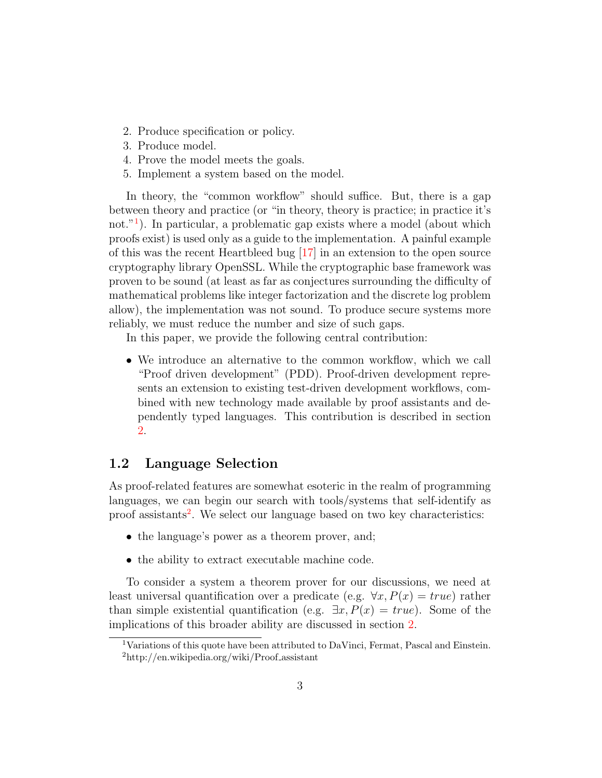- 2. Produce specification or policy.
- 3. Produce model.
- 4. Prove the model meets the goals.
- <span id="page-2-2"></span>5. Implement a system based on the model.

In theory, the "common workflow" should suffice. But, there is a gap between theory and practice (or "in theory, theory is practice; in practice it's not."<sup>[1](#page-2-0)</sup>). In particular, a problematic gap exists where a model (about which proofs exist) is used only as a guide to the implementation. A painful example of this was the recent Heartbleed bug [\[17\]](#page-20-6) in an extension to the open source cryptography library OpenSSL. While the cryptographic base framework was proven to be sound (at least as far as conjectures surrounding the difficulty of mathematical problems like integer factorization and the discrete log problem allow), the implementation was not sound. To produce secure systems more reliably, we must reduce the number and size of such gaps.

In this paper, we provide the following central contribution:

• We introduce an alternative to the common workflow, which we call "Proof driven development" (PDD). Proof-driven development represents an extension to existing test-driven development workflows, combined with new technology made available by proof assistants and dependently typed languages. This contribution is described in section [2.](#page-3-0)

### 1.2 Language Selection

As proof-related features are somewhat esoteric in the realm of programming languages, we can begin our search with tools/systems that self-identify as proof assistants<sup>[2](#page-2-1)</sup>. We select our language based on two key characteristics:

- the language's power as a theorem prover, and;
- the ability to extract executable machine code.

To consider a system a theorem prover for our discussions, we need at least universal quantification over a predicate (e.g.  $\forall x, P(x) = true$ ) rather than simple existential quantification (e.g.  $\exists x, P(x) = true$ ). Some of the implications of this broader ability are discussed in section [2.](#page-3-0)

<span id="page-2-1"></span><span id="page-2-0"></span><sup>&</sup>lt;sup>1</sup>Variations of this quote have been attributed to DaVinci, Fermat, Pascal and Einstein.  $^{2}$ http://en.wikipedia.org/wiki/Proof\_assistant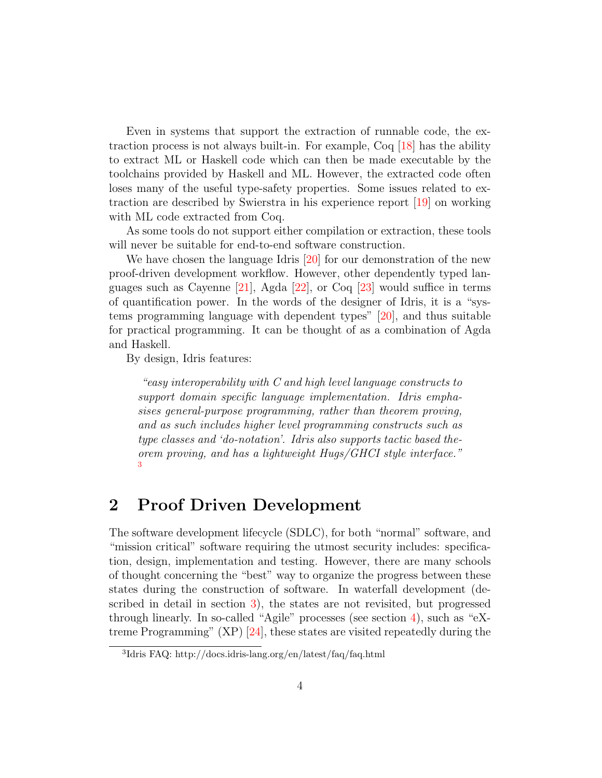Even in systems that support the extraction of runnable code, the extraction process is not always built-in. For example, Coq [\[18\]](#page-20-7) has the ability to extract ML or Haskell code which can then be made executable by the toolchains provided by Haskell and ML. However, the extracted code often loses many of the useful type-safety properties. Some issues related to extraction are described by Swierstra in his experience report [\[19\]](#page-20-8) on working with ML code extracted from Coq.

As some tools do not support either compilation or extraction, these tools will never be suitable for end-to-end software construction.

We have chosen the language Idris [\[20\]](#page-20-9) for our demonstration of the new proof-driven development workflow. However, other dependently typed languages such as Cayenne [\[21\]](#page-20-10), Agda [\[22\]](#page-20-11), or Coq [\[23\]](#page-20-12) would suffice in terms of quantification power. In the words of the designer of Idris, it is a "systems programming language with dependent types" [\[20\]](#page-20-9), and thus suitable for practical programming. It can be thought of as a combination of Agda and Haskell.

By design, Idris features:

"easy interoperability with C and high level language constructs to support domain specific language implementation. Idris emphasises general-purpose programming, rather than theorem proving, and as such includes higher level programming constructs such as type classes and 'do-notation'. Idris also supports tactic based theorem proving, and has a lightweight Hugs/GHCI style interface." [3](#page-3-1)

# <span id="page-3-0"></span>2 Proof Driven Development

The software development lifecycle (SDLC), for both "normal" software, and "mission critical" software requiring the utmost security includes: specification, design, implementation and testing. However, there are many schools of thought concerning the "best" way to organize the progress between these states during the construction of software. In waterfall development (described in detail in section [3\)](#page-4-0), the states are not revisited, but progressed through linearly. In so-called "Agile" processes (see section [4\)](#page-5-0), such as "eXtreme Programming" (XP) [\[24\]](#page-21-0), these states are visited repeatedly during the

<span id="page-3-1"></span><sup>3</sup> Idris FAQ: http://docs.idris-lang.org/en/latest/faq/faq.html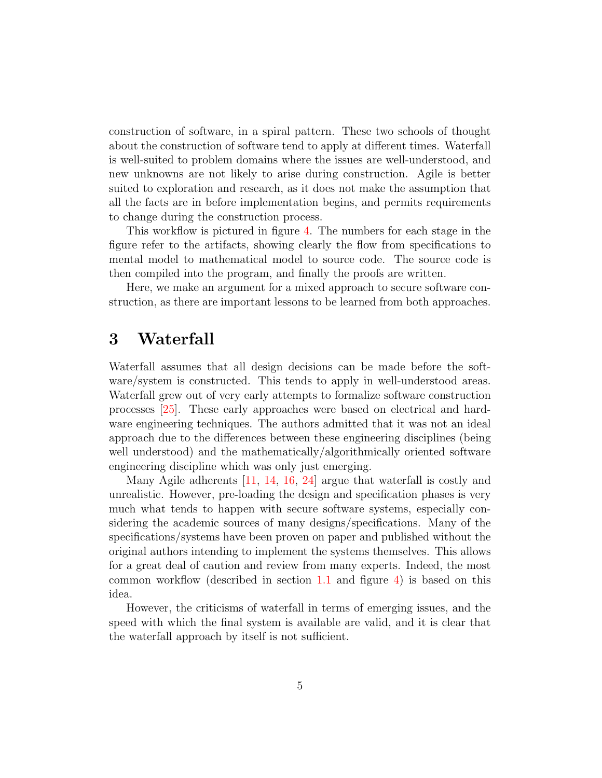construction of software, in a spiral pattern. These two schools of thought about the construction of software tend to apply at different times. Waterfall is well-suited to problem domains where the issues are well-understood, and new unknowns are not likely to arise during construction. Agile is better suited to exploration and research, as it does not make the assumption that all the facts are in before implementation begins, and permits requirements to change during the construction process.

This workflow is pictured in figure [4.](#page-9-0) The numbers for each stage in the figure refer to the artifacts, showing clearly the flow from specifications to mental model to mathematical model to source code. The source code is then compiled into the program, and finally the proofs are written.

Here, we make an argument for a mixed approach to secure software construction, as there are important lessons to be learned from both approaches.

# <span id="page-4-0"></span>3 Waterfall

Waterfall assumes that all design decisions can be made before the software/system is constructed. This tends to apply in well-understood areas. Waterfall grew out of very early attempts to formalize software construction processes [\[25\]](#page-21-1). These early approaches were based on electrical and hardware engineering techniques. The authors admitted that it was not an ideal approach due to the differences between these engineering disciplines (being well understood) and the mathematically/algorithmically oriented software engineering discipline which was only just emerging.

Many Agile adherents [\[11,](#page-20-0) [14,](#page-20-3) [16,](#page-20-5) [24\]](#page-21-0) argue that waterfall is costly and unrealistic. However, pre-loading the design and specification phases is very much what tends to happen with secure software systems, especially considering the academic sources of many designs/specifications. Many of the specifications/systems have been proven on paper and published without the original authors intending to implement the systems themselves. This allows for a great deal of caution and review from many experts. Indeed, the most common workflow (described in section [1.1](#page-1-0) and figure [4\)](#page-9-0) is based on this idea.

However, the criticisms of waterfall in terms of emerging issues, and the speed with which the final system is available are valid, and it is clear that the waterfall approach by itself is not sufficient.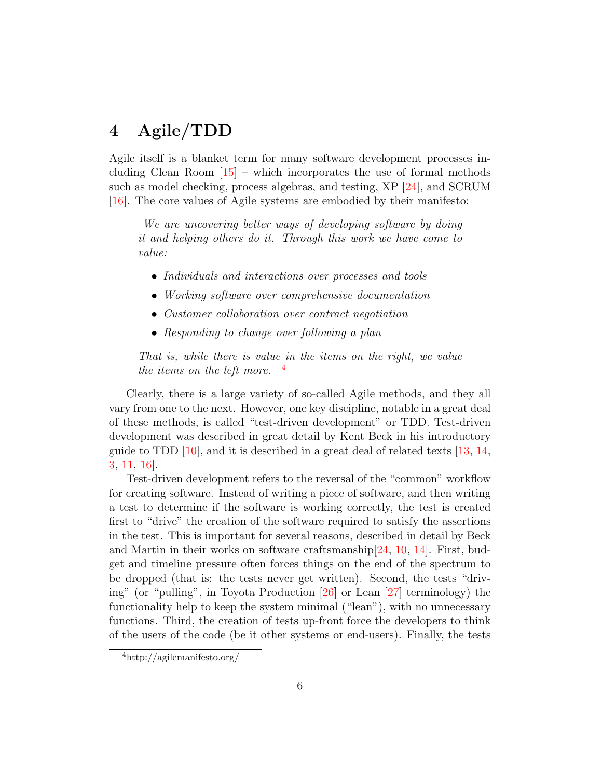# <span id="page-5-0"></span>4 Agile/TDD

Agile itself is a blanket term for many software development processes including Clean Room  $[15]$  – which incorporates the use of formal methods such as model checking, process algebras, and testing, XP [\[24\]](#page-21-0), and SCRUM [\[16\]](#page-20-5). The core values of Agile systems are embodied by their manifesto:

We are uncovering better ways of developing software by doing it and helping others do it. Through this work we have come to value:

- Individuals and interactions over processes and tools
- Working software over comprehensive documentation
- Customer collaboration over contract negotiation
- Responding to change over following a plan

That is, while there is value in the items on the right, we value the items on the left more.  $\frac{4}{3}$  $\frac{4}{3}$  $\frac{4}{3}$ 

Clearly, there is a large variety of so-called Agile methods, and they all vary from one to the next. However, one key discipline, notable in a great deal of these methods, is called "test-driven development" or TDD. Test-driven development was described in great detail by Kent Beck in his introductory guide to TDD  $[10]$ , and it is described in a great deal of related texts  $[13, 14]$  $[13, 14]$ , [3,](#page-19-2) [11,](#page-20-0) [16\]](#page-20-5).

Test-driven development refers to the reversal of the "common" workflow for creating software. Instead of writing a piece of software, and then writing a test to determine if the software is working correctly, the test is created first to "drive" the creation of the software required to satisfy the assertions in the test. This is important for several reasons, described in detail by Beck and Martin in their works on software craftsmanship[\[24,](#page-21-0) [10,](#page-19-9) [14\]](#page-20-3). First, budget and timeline pressure often forces things on the end of the spectrum to be dropped (that is: the tests never get written). Second, the tests "driving" (or "pulling", in Toyota Production [\[26\]](#page-21-2) or Lean [\[27\]](#page-21-3) terminology) the functionality help to keep the system minimal ("lean"), with no unnecessary functions. Third, the creation of tests up-front force the developers to think of the users of the code (be it other systems or end-users). Finally, the tests

<span id="page-5-1"></span><sup>4</sup>http://agilemanifesto.org/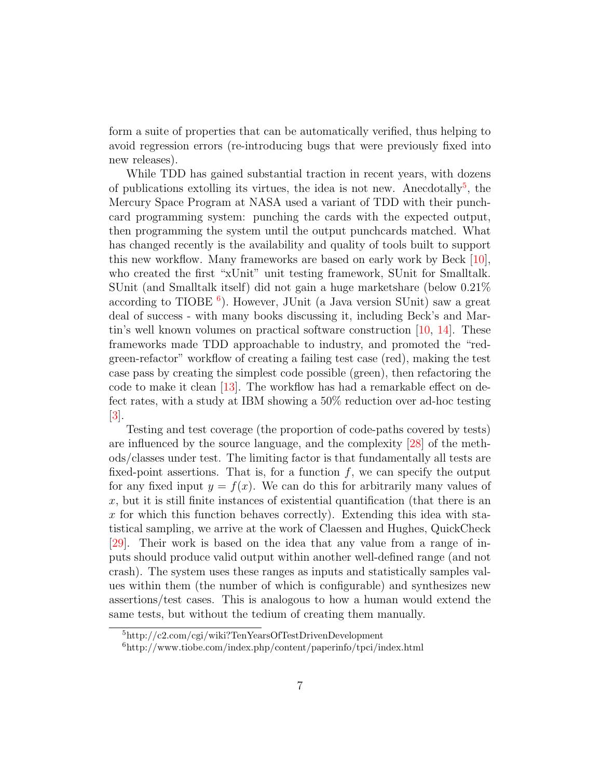form a suite of properties that can be automatically verified, thus helping to avoid regression errors (re-introducing bugs that were previously fixed into new releases).

While TDD has gained substantial traction in recent years, with dozens of publications extolling its virtues, the idea is not new. Anecdotally<sup>[5](#page-6-0)</sup>, the Mercury Space Program at NASA used a variant of TDD with their punchcard programming system: punching the cards with the expected output, then programming the system until the output punchcards matched. What has changed recently is the availability and quality of tools built to support this new workflow. Many frameworks are based on early work by Beck [\[10\]](#page-19-9), who created the first "xUnit" unit testing framework, SUnit for Smalltalk. SUnit (and Smalltalk itself) did not gain a huge marketshare (below 0.21% according to TIOBE  $^6$  $^6$ ). However, JUnit (a Java version SUnit) saw a great deal of success - with many books discussing it, including Beck's and Martin's well known volumes on practical software construction  $[10, 14]$  $[10, 14]$  $[10, 14]$ . These frameworks made TDD approachable to industry, and promoted the "redgreen-refactor" workflow of creating a failing test case (red), making the test case pass by creating the simplest code possible (green), then refactoring the code to make it clean [\[13\]](#page-20-2). The workflow has had a remarkable effect on defect rates, with a study at IBM showing a 50% reduction over ad-hoc testing [\[3\]](#page-19-2).

Testing and test coverage (the proportion of code-paths covered by tests) are influenced by the source language, and the complexity [\[28\]](#page-21-4) of the methods/classes under test. The limiting factor is that fundamentally all tests are fixed-point assertions. That is, for a function  $f$ , we can specify the output for any fixed input  $y = f(x)$ . We can do this for arbitrarily many values of  $x$ , but it is still finite instances of existential quantification (that there is an x for which this function behaves correctly). Extending this idea with statistical sampling, we arrive at the work of Claessen and Hughes, QuickCheck [\[29\]](#page-21-5). Their work is based on the idea that any value from a range of inputs should produce valid output within another well-defined range (and not crash). The system uses these ranges as inputs and statistically samples values within them (the number of which is configurable) and synthesizes new assertions/test cases. This is analogous to how a human would extend the same tests, but without the tedium of creating them manually.

<span id="page-6-0"></span><sup>5</sup>http://c2.com/cgi/wiki?TenYearsOfTestDrivenDevelopment

<span id="page-6-1"></span><sup>6</sup>http://www.tiobe.com/index.php/content/paperinfo/tpci/index.html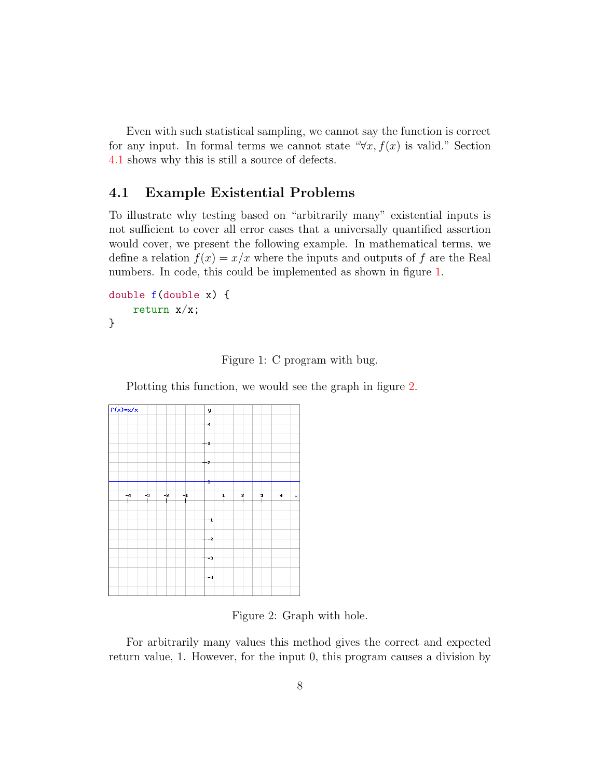Even with such statistical sampling, we cannot say the function is correct for any input. In formal terms we cannot state " $\forall x, f(x)$  is valid." Section [4.1](#page-7-0) shows why this is still a source of defects.

### <span id="page-7-0"></span>4.1 Example Existential Problems

To illustrate why testing based on "arbitrarily many" existential inputs is not sufficient to cover all error cases that a universally quantified assertion would cover, we present the following example. In mathematical terms, we define a relation  $f(x) = x/x$  where the inputs and outputs of f are the Real numbers. In code, this could be implemented as shown in figure [1.](#page-7-1)

```
double f(double x) {
    return x/x;
}
```
<span id="page-7-1"></span>Figure 1: C program with bug.

Plotting this function, we would see the graph in figure [2.](#page-7-2)



<span id="page-7-2"></span>Figure 2: Graph with hole.

For arbitrarily many values this method gives the correct and expected return value, 1. However, for the input 0, this program causes a division by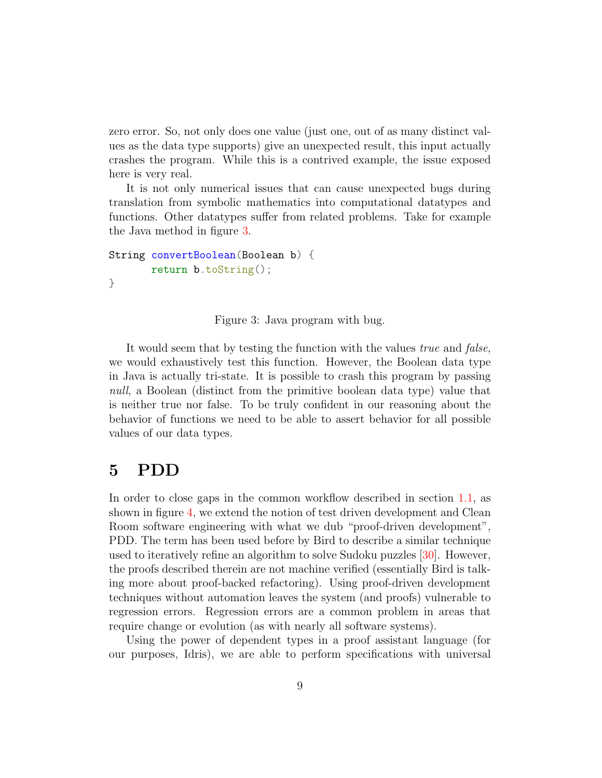zero error. So, not only does one value (just one, out of as many distinct values as the data type supports) give an unexpected result, this input actually crashes the program. While this is a contrived example, the issue exposed here is very real.

It is not only numerical issues that can cause unexpected bugs during translation from symbolic mathematics into computational datatypes and functions. Other datatypes suffer from related problems. Take for example the Java method in figure [3.](#page-8-0)

```
String convertBoolean(Boolean b) {
       return b.toString();
}
```
<span id="page-8-0"></span>Figure 3: Java program with bug.

It would seem that by testing the function with the values *true* and *false*, we would exhaustively test this function. However, the Boolean data type in Java is actually tri-state. It is possible to crash this program by passing null, a Boolean (distinct from the primitive boolean data type) value that is neither true nor false. To be truly confident in our reasoning about the behavior of functions we need to be able to assert behavior for all possible values of our data types.

### 5 PDD

In order to close gaps in the common workflow described in section [1.1,](#page-1-0) as shown in figure [4,](#page-9-0) we extend the notion of test driven development and Clean Room software engineering with what we dub "proof-driven development", PDD. The term has been used before by Bird to describe a similar technique used to iteratively refine an algorithm to solve Sudoku puzzles [\[30\]](#page-21-6). However, the proofs described therein are not machine verified (essentially Bird is talking more about proof-backed refactoring). Using proof-driven development techniques without automation leaves the system (and proofs) vulnerable to regression errors. Regression errors are a common problem in areas that require change or evolution (as with nearly all software systems).

Using the power of dependent types in a proof assistant language (for our purposes, Idris), we are able to perform specifications with universal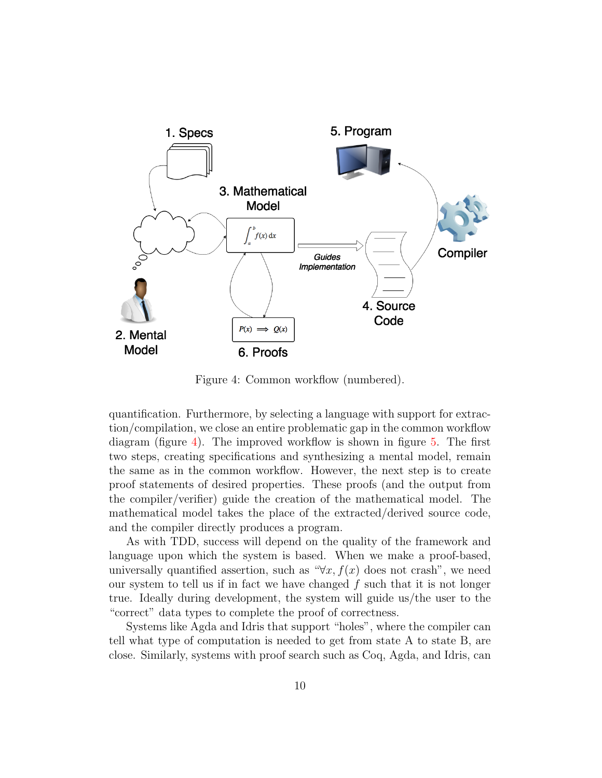

<span id="page-9-0"></span>Figure 4: Common workflow (numbered).

quantification. Furthermore, by selecting a language with support for extraction/compilation, we close an entire problematic gap in the common workflow diagram (figure [4\)](#page-9-0). The improved workflow is shown in figure [5.](#page-10-0) The first two steps, creating specifications and synthesizing a mental model, remain the same as in the common workflow. However, the next step is to create proof statements of desired properties. These proofs (and the output from the compiler/verifier) guide the creation of the mathematical model. The mathematical model takes the place of the extracted/derived source code, and the compiler directly produces a program.

As with TDD, success will depend on the quality of the framework and language upon which the system is based. When we make a proof-based, universally quantified assertion, such as " $\forall x, f(x)$  does not crash", we need our system to tell us if in fact we have changed  $f$  such that it is not longer true. Ideally during development, the system will guide us/the user to the "correct" data types to complete the proof of correctness.

Systems like Agda and Idris that support "holes", where the compiler can tell what type of computation is needed to get from state A to state B, are close. Similarly, systems with proof search such as Coq, Agda, and Idris, can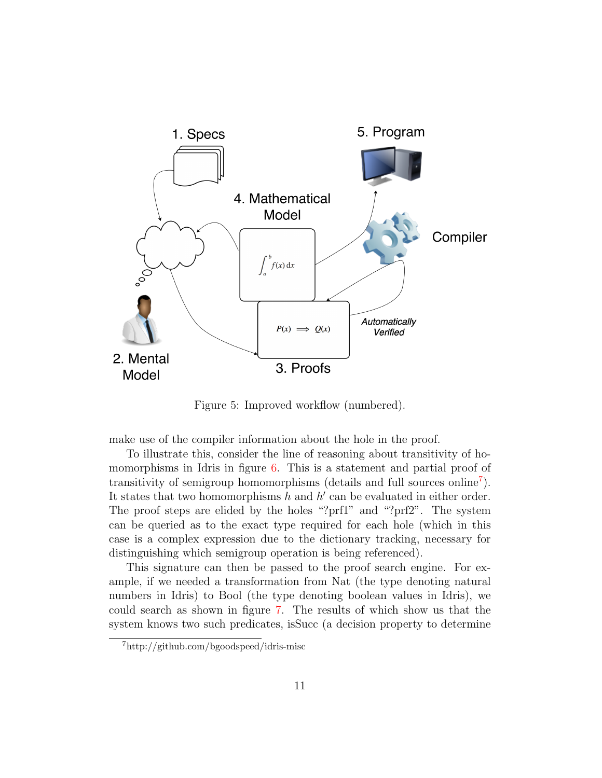

<span id="page-10-0"></span>Figure 5: Improved workflow (numbered).

make use of the compiler information about the hole in the proof.

To illustrate this, consider the line of reasoning about transitivity of ho-momorphisms in Idris in figure [6.](#page-11-0) This is a statement and partial proof of transitivity of semigroup homomorphisms (details and full sources online[7](#page-10-1) ). It states that two homomorphisms  $h$  and  $h'$  can be evaluated in either order. The proof steps are elided by the holes "?prf1" and "?prf2". The system can be queried as to the exact type required for each hole (which in this case is a complex expression due to the dictionary tracking, necessary for distinguishing which semigroup operation is being referenced).

This signature can then be passed to the proof search engine. For example, if we needed a transformation from Nat (the type denoting natural numbers in Idris) to Bool (the type denoting boolean values in Idris), we could search as shown in figure [7.](#page-11-1) The results of which show us that the system knows two such predicates, isSucc (a decision property to determine

<span id="page-10-1"></span><sup>7</sup>http://github.com/bgoodspeed/idris-misc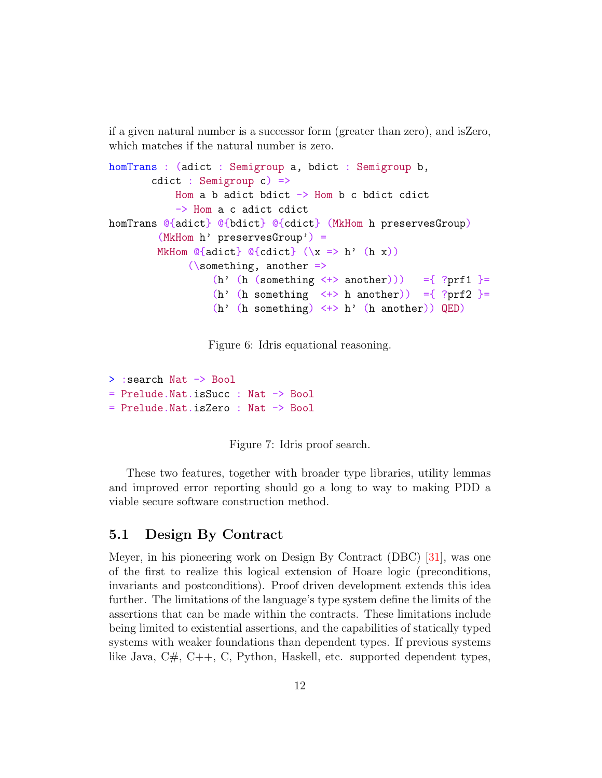if a given natural number is a successor form (greater than zero), and isZero, which matches if the natural number is zero.

```
homTrans : (adict : Semigroup a, bdict : Semigroup b,
        cdict : Semigroup c) =>
            Hom a b adict bdict \rightarrow Hom b c bdict cdict
            -> Hom a c adict cdict
homTrans @{adict} @{bdict} @{cdict} (MkHom h preservesGroup)
         (MkHom h' preservesGroup') =
         MkHom @{addict} @{cdict} (\x \Rightarrow h' (h x))(\simeq) another \Rightarrow(h' (h (something \langle + \rangle another))) ={ ?prf1 }=
                   (h' (h something \langle + \rangle h another)) ={ ?prf2 }=
                   (h' (h something) \leftrightarrow h' (h another)) QED)
```
<span id="page-11-0"></span>Figure 6: Idris equational reasoning.

```
> : search Nat -> Bool
= Prelude.Nat.isSucc : Nat -> Bool
= Prelude.Nat.isZero : Nat -> Bool
```
<span id="page-11-1"></span>Figure 7: Idris proof search.

These two features, together with broader type libraries, utility lemmas and improved error reporting should go a long to way to making PDD a viable secure software construction method.

#### 5.1 Design By Contract

Meyer, in his pioneering work on Design By Contract (DBC) [\[31\]](#page-21-7), was one of the first to realize this logical extension of Hoare logic (preconditions, invariants and postconditions). Proof driven development extends this idea further. The limitations of the language's type system define the limits of the assertions that can be made within the contracts. These limitations include being limited to existential assertions, and the capabilities of statically typed systems with weaker foundations than dependent types. If previous systems like Java,  $C#$ ,  $C++$ , C, Python, Haskell, etc. supported dependent types,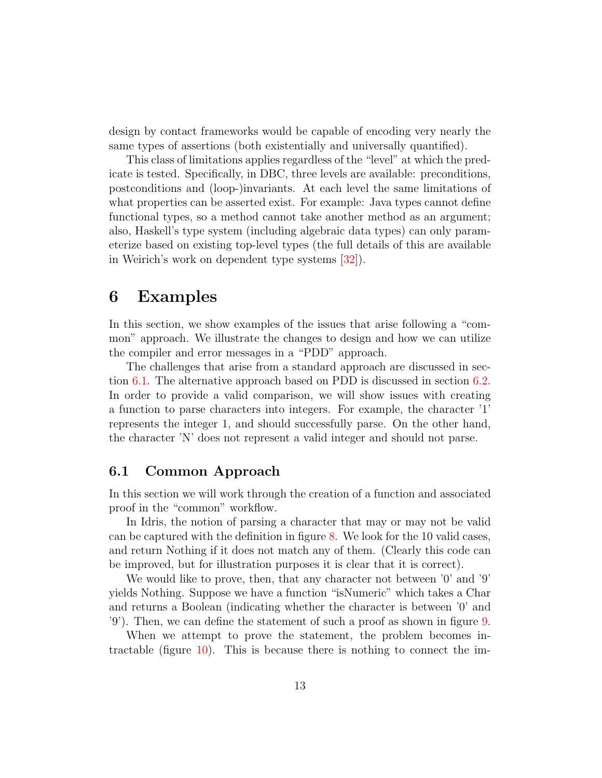design by contact frameworks would be capable of encoding very nearly the same types of assertions (both existentially and universally quantified).

This class of limitations applies regardless of the "level" at which the predicate is tested. Specifically, in DBC, three levels are available: preconditions, postconditions and (loop-)invariants. At each level the same limitations of what properties can be asserted exist. For example: Java types cannot define functional types, so a method cannot take another method as an argument; also, Haskell's type system (including algebraic data types) can only parameterize based on existing top-level types (the full details of this are available in Weirich's work on dependent type systems [\[32\]](#page-21-8)).

### 6 Examples

In this section, we show examples of the issues that arise following a "common" approach. We illustrate the changes to design and how we can utilize the compiler and error messages in a "PDD" approach.

The challenges that arise from a standard approach are discussed in section [6.1.](#page-14-0) The alternative approach based on PDD is discussed in section [6.2.](#page-16-0) In order to provide a valid comparison, we will show issues with creating a function to parse characters into integers. For example, the character '1' represents the integer 1, and should successfully parse. On the other hand, the character 'N' does not represent a valid integer and should not parse.

#### 6.1 Common Approach

In this section we will work through the creation of a function and associated proof in the "common" workflow.

In Idris, the notion of parsing a character that may or may not be valid can be captured with the definition in figure [8.](#page-13-0) We look for the 10 valid cases, and return Nothing if it does not match any of them. (Clearly this code can be improved, but for illustration purposes it is clear that it is correct).

We would like to prove, then, that any character not between '0' and '9' yields Nothing. Suppose we have a function "isNumeric" which takes a Char and returns a Boolean (indicating whether the character is between '0' and '9'). Then, we can define the statement of such a proof as shown in figure [9.](#page-13-1)

When we attempt to prove the statement, the problem becomes intractable (figure [10\)](#page-14-1). This is because there is nothing to connect the im-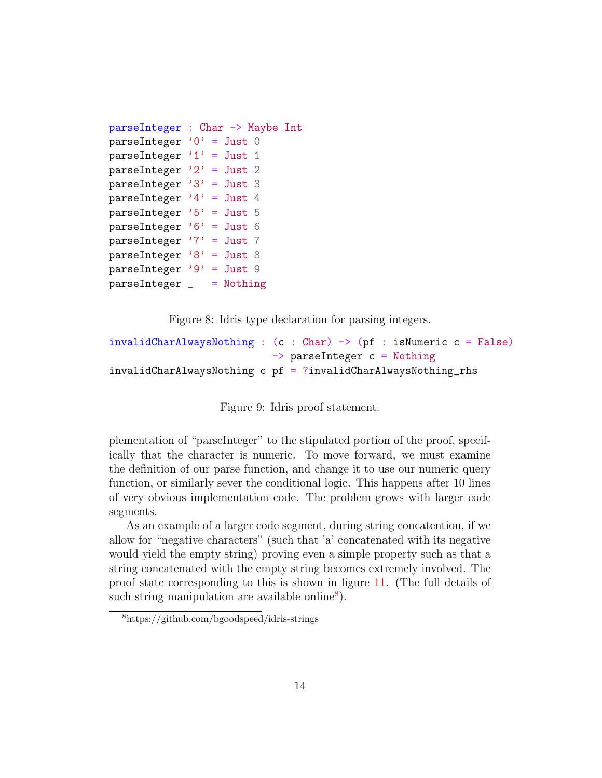```
parseInteger : Char -> Maybe Int
parseInteger '0' = Just 0
parseInteger '1' = Just 1
parseInteger '2' = Just 2
parseInteger '3' = Just 3
parseInteger '4' = Just 4
parseInteger '5' = Just 5
parseInteger '6' = Just 6
parseInteger '7' = Just 7
parseInteger '8' = Just 8
parseInteger '9' = Just 9
parseInteger _ = Nothing
```
<span id="page-13-0"></span>Figure 8: Idris type declaration for parsing integers.

```
invalidCharAlwaysNothing : (c : Char) \rightarrow (pf : isNumeric c = False)\Rightarrow parseInteger c = Nothing
invalidCharAlwaysNothing c pf = ?invalidCharAlwaysNothing_rhs
```
<span id="page-13-1"></span>Figure 9: Idris proof statement.

plementation of "parseInteger" to the stipulated portion of the proof, specifically that the character is numeric. To move forward, we must examine the definition of our parse function, and change it to use our numeric query function, or similarly sever the conditional logic. This happens after 10 lines of very obvious implementation code. The problem grows with larger code segments.

As an example of a larger code segment, during string concatention, if we allow for "negative characters" (such that 'a' concatenated with its negative would yield the empty string) proving even a simple property such as that a string concatenated with the empty string becomes extremely involved. The proof state corresponding to this is shown in figure [11.](#page-14-0) (The full details of such string manipulation are available online<sup>[8](#page-13-2)</sup>).

<span id="page-13-2"></span><sup>8</sup>https://github.com/bgoodspeed/idris-strings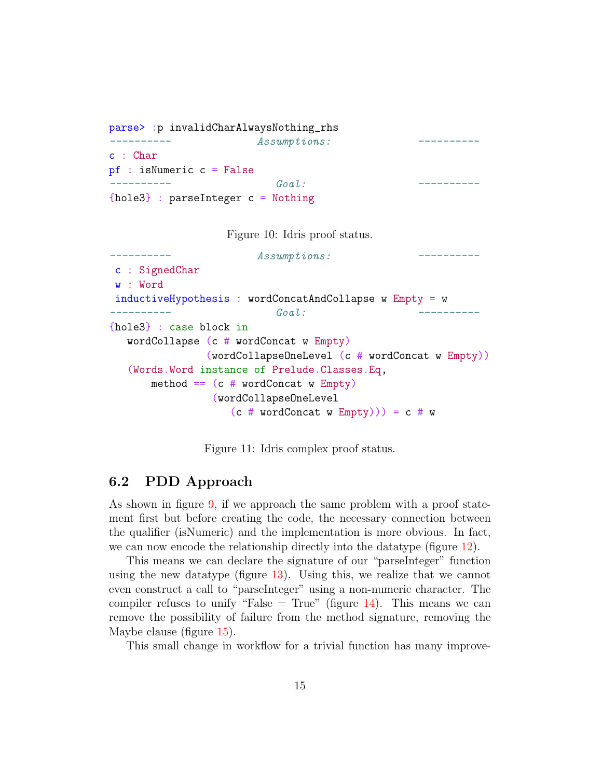```
parse> :p invalidCharAlwaysNothing_rhs
---------- Assumptions: ----------
c : Char
pf : isNumeric c = False
\overline{a}{hole3} : parseInteger c = Nothing
```
<span id="page-14-1"></span>Figure 10: Idris proof status.

```
---------- Assumptions: ----------
c : SignedChar
w : Word
inductiveHypothesis : wordConcatAndCollapse w Empty = w
---------- Goal: ----------
{hole3} : case block in
  wordCollapse (c # wordConcat w Empty)
              (wordCollapseOneLevel (c # wordConcat w Empty))
  (Words.Word instance of Prelude.Classes.Eq,
      method == (c # wordConcat w Empty)(wordCollapseOneLevel
                 (c # wordConcat w Empty)) = c # w
```
<span id="page-14-0"></span>Figure 11: Idris complex proof status.

#### 6.2 PDD Approach

As shown in figure [9,](#page-13-1) if we approach the same problem with a proof statement first but before creating the code, the necessary connection between the qualifier (isNumeric) and the implementation is more obvious. In fact, we can now encode the relationship directly into the datatype (figure [12\)](#page-15-0).

This means we can declare the signature of our "parseInteger" function using the new datatype (figure [13\)](#page-15-1). Using this, we realize that we cannot even construct a call to "parseInteger" using a non-numeric character. The compiler refuses to unify "False  $=$  True" (figure [14\)](#page-16-1). This means we can remove the possibility of failure from the method signature, removing the Maybe clause (figure [15\)](#page-16-0).

This small change in workflow for a trivial function has many improve-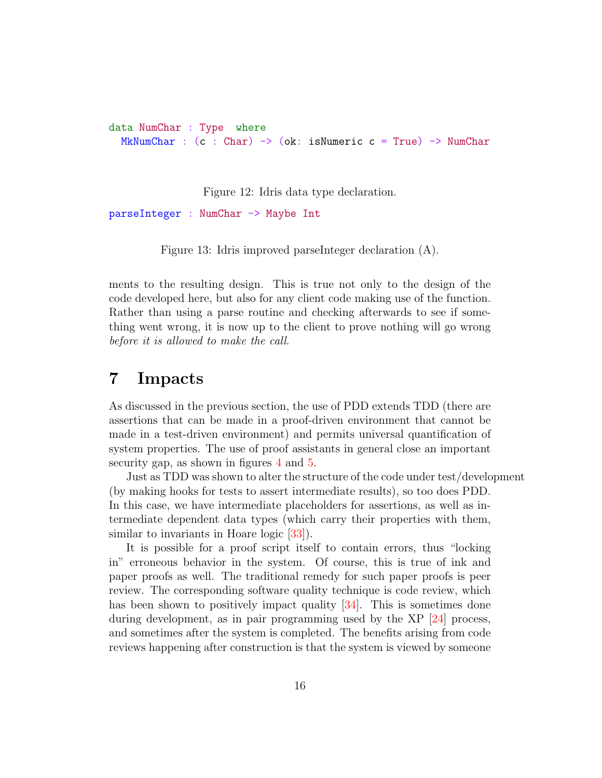data NumChar : Type where MkNumChar :  $(c : Char) \rightarrow (ok: isNumeric c = True) \rightarrow NumChar$ 

<span id="page-15-1"></span><span id="page-15-0"></span>Figure 12: Idris data type declaration.

parseInteger : NumChar -> Maybe Int

Figure 13: Idris improved parseInteger declaration (A).

ments to the resulting design. This is true not only to the design of the code developed here, but also for any client code making use of the function. Rather than using a parse routine and checking afterwards to see if something went wrong, it is now up to the client to prove nothing will go wrong before it is allowed to make the call.

### 7 Impacts

As discussed in the previous section, the use of PDD extends TDD (there are assertions that can be made in a proof-driven environment that cannot be made in a test-driven environment) and permits universal quantification of system properties. The use of proof assistants in general close an important security gap, as shown in figures [4](#page-9-0) and [5.](#page-10-0)

Just as TDD was shown to alter the structure of the code under test/development (by making hooks for tests to assert intermediate results), so too does PDD. In this case, we have intermediate placeholders for assertions, as well as intermediate dependent data types (which carry their properties with them, similar to invariants in Hoare logic [\[33\]](#page-21-9)).

It is possible for a proof script itself to contain errors, thus "locking in" erroneous behavior in the system. Of course, this is true of ink and paper proofs as well. The traditional remedy for such paper proofs is peer review. The corresponding software quality technique is code review, which has been shown to positively impact quality  $[34]$ . This is sometimes done during development, as in pair programming used by the  $XP$  |24| process, and sometimes after the system is completed. The benefits arising from code reviews happening after construction is that the system is viewed by someone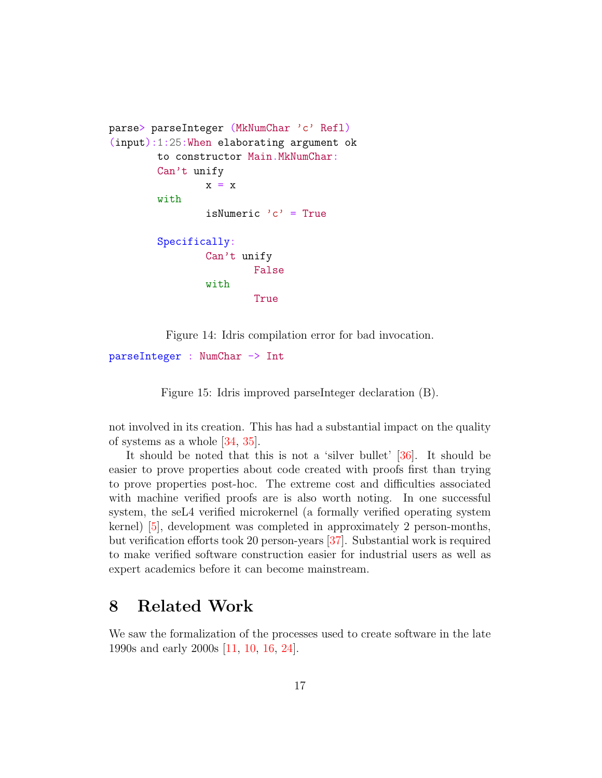```
parse> parseInteger (MkNumChar 'c' Refl)
(input):1:25:When elaborating argument ok
        to constructor Main.MkNumChar:
        Can't unify
                x = xwith
                isNumeric 'c' = True
        Specifically:
                Can't unify
                        False
                with
                        True
```
<span id="page-16-1"></span>Figure 14: Idris compilation error for bad invocation.

parseInteger : NumChar -> Int

<span id="page-16-0"></span>Figure 15: Idris improved parseInteger declaration (B).

not involved in its creation. This has had a substantial impact on the quality of systems as a whole [\[34,](#page-21-10) [35\]](#page-21-11).

It should be noted that this is not a 'silver bullet' [\[36\]](#page-21-12). It should be easier to prove properties about code created with proofs first than trying to prove properties post-hoc. The extreme cost and difficulties associated with machine verified proofs are is also worth noting. In one successful system, the seL4 verified microkernel (a formally verified operating system kernel) [\[5\]](#page-19-4), development was completed in approximately 2 person-months, but verification efforts took 20 person-years [\[37\]](#page-22-0). Substantial work is required to make verified software construction easier for industrial users as well as expert academics before it can become mainstream.

# 8 Related Work

We saw the formalization of the processes used to create software in the late 1990s and early 2000s [\[11,](#page-20-0) [10,](#page-19-9) [16,](#page-20-5) [24\]](#page-21-0).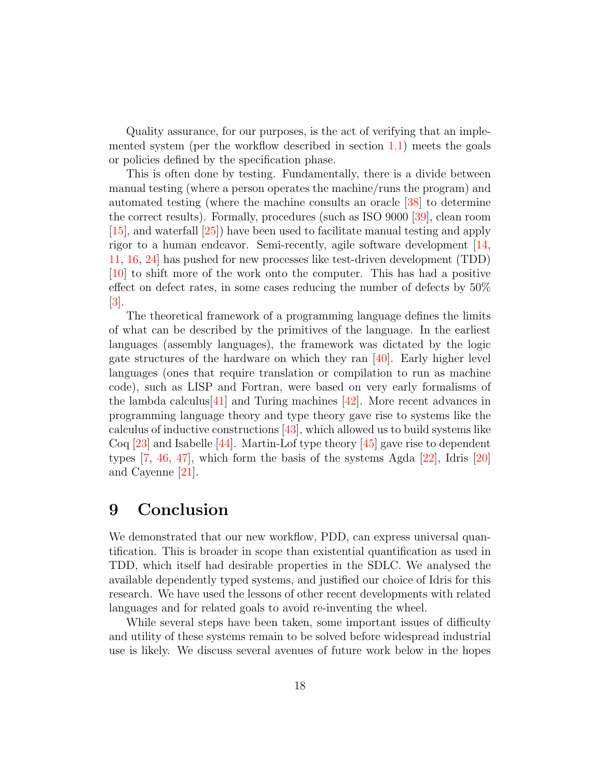Quality assurance, for our purposes, is the act of verifying that an implemented system (per the workflow described in section [1.1\)](#page-2-2) meets the goals or policies defined by the specification phase.

This is often done by testing. Fundamentally, there is a divide between manual testing (where a person operates the machine/runs the program) and automated testing (where the machine consults an oracle [\[38\]](#page-22-1) to determine the correct results). Formally, procedures (such as ISO 9000 [\[39\]](#page-22-2), clean room [\[15\]](#page-20-4), and waterfall [\[25\]](#page-21-1)) have been used to facilitate manual testing and apply rigor to a human endeavor. Semi-recently, agile software development [\[14,](#page-20-3) [11,](#page-20-0) [16,](#page-20-5) [24\]](#page-21-0) has pushed for new processes like test-driven development (TDD) [\[10\]](#page-19-9) to shift more of the work onto the computer. This has had a positive effect on defect rates, in some cases reducing the number of defects by 50%  $|3|$ .

The theoretical framework of a programming language defines the limits of what can be described by the primitives of the language. In the earliest languages (assembly languages), the framework was dictated by the logic gate structures of the hardware on which they ran [\[40\]](#page-22-3). Early higher level languages (ones that require translation or compilation to run as machine code), such as LISP and Fortran, were based on very early formalisms of the lambda calculus  $|41|$  and Turing machines  $|42|$ . More recent advances in programming language theory and type theory gave rise to systems like the calculus of inductive constructions  $|43|$ , which allowed us to build systems like Coq [\[23\]](#page-20-12) and Isabelle [\[44\]](#page-22-7). Martin-Lof type theory [\[45\]](#page-22-8) gave rise to dependent types [\[7,](#page-19-6) [46,](#page-22-9) [47\]](#page-22-10), which form the basis of the systems Agda [\[22\]](#page-20-11), Idris [\[20\]](#page-20-9) and Cayenne [\[21\]](#page-20-10).

# 9 Conclusion

We demonstrated that our new workflow, PDD, can express universal quantification. This is broader in scope than existential quantification as used in TDD, which itself had desirable properties in the SDLC. We analysed the available dependently typed systems, and justified our choice of Idris for this research. We have used the lessons of other recent developments with related languages and for related goals to avoid re-inventing the wheel.

While several steps have been taken, some important issues of difficulty and utility of these systems remain to be solved before widespread industrial use is likely. We discuss several avenues of future work below in the hopes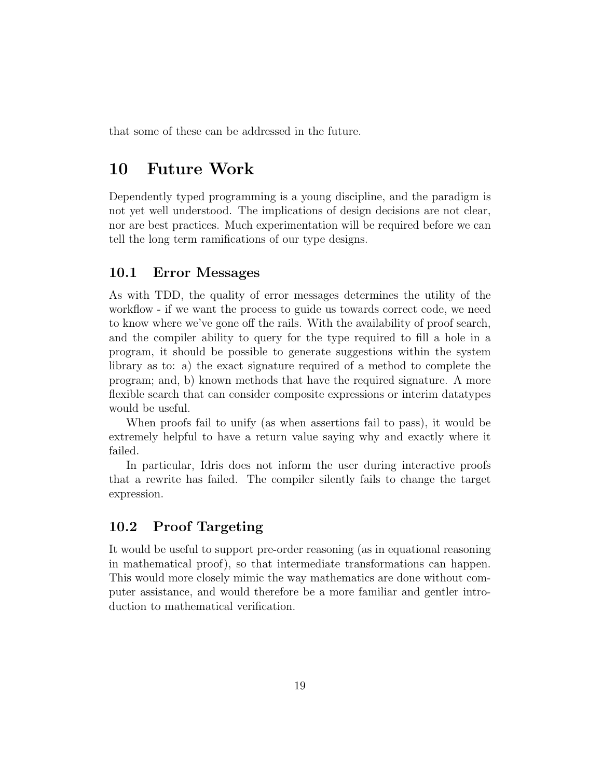that some of these can be addressed in the future.

# 10 Future Work

Dependently typed programming is a young discipline, and the paradigm is not yet well understood. The implications of design decisions are not clear, nor are best practices. Much experimentation will be required before we can tell the long term ramifications of our type designs.

#### 10.1 Error Messages

As with TDD, the quality of error messages determines the utility of the workflow - if we want the process to guide us towards correct code, we need to know where we've gone off the rails. With the availability of proof search, and the compiler ability to query for the type required to fill a hole in a program, it should be possible to generate suggestions within the system library as to: a) the exact signature required of a method to complete the program; and, b) known methods that have the required signature. A more flexible search that can consider composite expressions or interim datatypes would be useful.

When proofs fail to unify (as when assertions fail to pass), it would be extremely helpful to have a return value saying why and exactly where it failed.

In particular, Idris does not inform the user during interactive proofs that a rewrite has failed. The compiler silently fails to change the target expression.

### 10.2 Proof Targeting

It would be useful to support pre-order reasoning (as in equational reasoning in mathematical proof), so that intermediate transformations can happen. This would more closely mimic the way mathematics are done without computer assistance, and would therefore be a more familiar and gentler introduction to mathematical verification.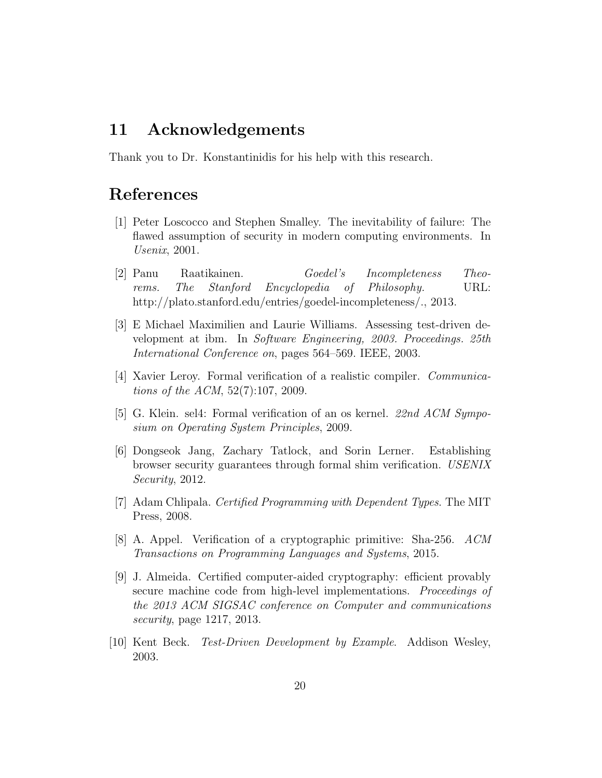### 11 Acknowledgements

Thank you to Dr. Konstantinidis for his help with this research.

### References

- <span id="page-19-0"></span>[1] Peter Loscocco and Stephen Smalley. The inevitability of failure: The flawed assumption of security in modern computing environments. In Usenix, 2001.
- <span id="page-19-1"></span>[2] Panu Raatikainen. Goedel's Incompleteness Theorems. The Stanford Encyclopedia of Philosophy. URL: http://plato.stanford.edu/entries/goedel-incompleteness/., 2013.
- <span id="page-19-2"></span>[3] E Michael Maximilien and Laurie Williams. Assessing test-driven development at ibm. In Software Engineering, 2003. Proceedings. 25th International Conference on, pages 564–569. IEEE, 2003.
- <span id="page-19-3"></span>[4] Xavier Leroy. Formal verification of a realistic compiler. Communications of the ACM, 52(7):107, 2009.
- <span id="page-19-4"></span>[5] G. Klein. sel4: Formal verification of an os kernel. 22nd ACM Symposium on Operating System Principles, 2009.
- <span id="page-19-5"></span>[6] Dongseok Jang, Zachary Tatlock, and Sorin Lerner. Establishing browser security guarantees through formal shim verification. USENIX Security, 2012.
- <span id="page-19-6"></span>[7] Adam Chlipala. Certified Programming with Dependent Types. The MIT Press, 2008.
- <span id="page-19-7"></span>[8] A. Appel. Verification of a cryptographic primitive: Sha-256. ACM Transactions on Programming Languages and Systems, 2015.
- <span id="page-19-8"></span>[9] J. Almeida. Certified computer-aided cryptography: efficient provably secure machine code from high-level implementations. Proceedings of the 2013 ACM SIGSAC conference on Computer and communications security, page 1217, 2013.
- <span id="page-19-9"></span>[10] Kent Beck. Test-Driven Development by Example. Addison Wesley, 2003.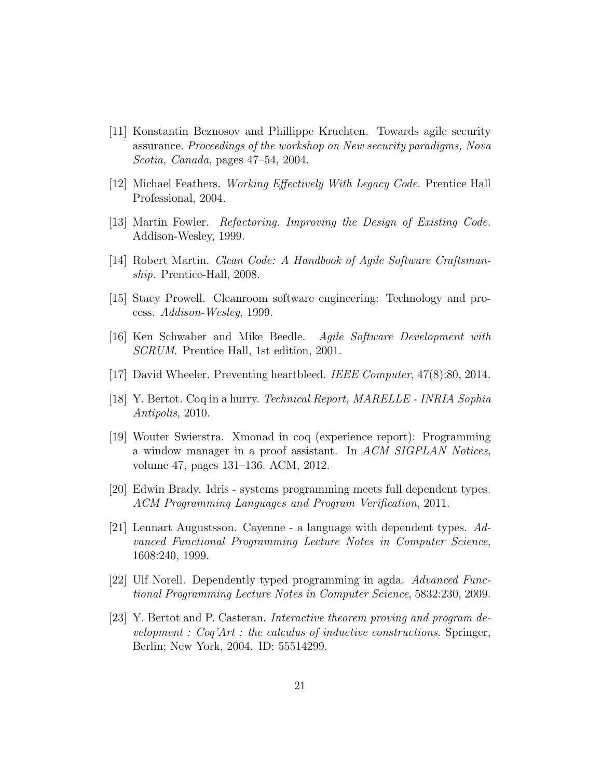- <span id="page-20-0"></span>[11] Konstantin Beznosov and Phillippe Kruchten. Towards agile security assurance. Proceedings of the workshop on New security paradigms, Nova Scotia, Canada, pages 47–54, 2004.
- <span id="page-20-1"></span>[12] Michael Feathers. Working Effectively With Legacy Code. Prentice Hall Professional, 2004.
- <span id="page-20-2"></span>[13] Martin Fowler. Refactoring. Improving the Design of Existing Code. Addison-Wesley, 1999.
- <span id="page-20-3"></span>[14] Robert Martin. Clean Code: A Handbook of Agile Software Craftsmanship. Prentice-Hall, 2008.
- <span id="page-20-4"></span>[15] Stacy Prowell. Cleanroom software engineering: Technology and process. Addison-Wesley, 1999.
- <span id="page-20-5"></span>[16] Ken Schwaber and Mike Beedle. Agile Software Development with SCRUM. Prentice Hall, 1st edition, 2001.
- <span id="page-20-6"></span>[17] David Wheeler. Preventing heartbleed. IEEE Computer, 47(8):80, 2014.
- <span id="page-20-7"></span>[18] Y. Bertot. Coq in a hurry. Technical Report, MARELLE - INRIA Sophia Antipolis, 2010.
- <span id="page-20-8"></span>[19] Wouter Swierstra. Xmonad in coq (experience report): Programming a window manager in a proof assistant. In ACM SIGPLAN Notices, volume 47, pages 131–136. ACM, 2012.
- <span id="page-20-9"></span>[20] Edwin Brady. Idris - systems programming meets full dependent types. ACM Programming Languages and Program Verification, 2011.
- <span id="page-20-10"></span>[21] Lennart Augustsson. Cayenne - a language with dependent types. Advanced Functional Programming Lecture Notes in Computer Science, 1608:240, 1999.
- <span id="page-20-11"></span>[22] Ulf Norell. Dependently typed programming in agda. Advanced Functional Programming Lecture Notes in Computer Science, 5832:230, 2009.
- <span id="page-20-12"></span>[23] Y. Bertot and P. Casteran. Interactive theorem proving and program development :  $Cog'Art$ : the calculus of inductive constructions. Springer, Berlin; New York, 2004. ID: 55514299.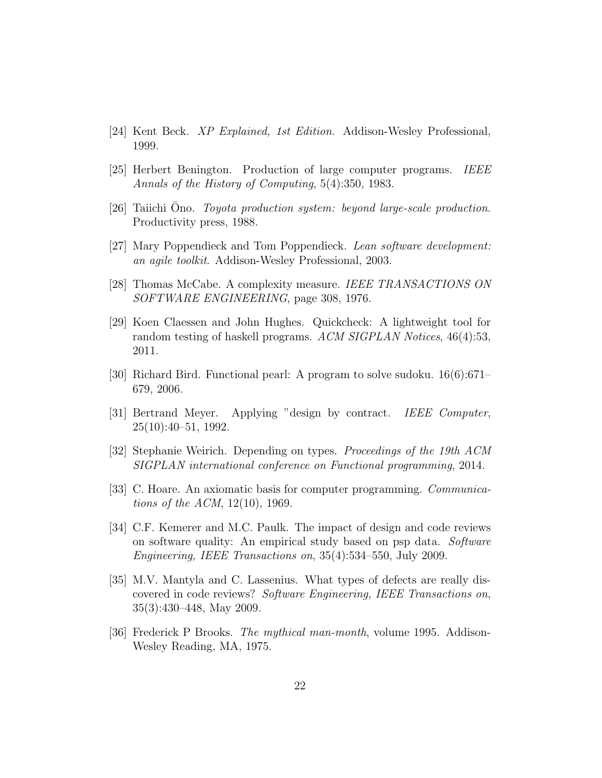- <span id="page-21-0"></span>[24] Kent Beck. XP Explained, 1st Edition. Addison-Wesley Professional, 1999.
- <span id="page-21-1"></span>[25] Herbert Benington. Production of large computer programs. IEEE Annals of the History of Computing, 5(4):350, 1983.
- <span id="page-21-2"></span>[26] Taiichi Ono. Toyota production system: beyond large-scale production. Productivity press, 1988.
- <span id="page-21-3"></span>[27] Mary Poppendieck and Tom Poppendieck. Lean software development: an agile toolkit. Addison-Wesley Professional, 2003.
- <span id="page-21-4"></span>[28] Thomas McCabe. A complexity measure. IEEE TRANSACTIONS ON SOFTWARE ENGINEERING, page 308, 1976.
- <span id="page-21-5"></span>[29] Koen Claessen and John Hughes. Quickcheck: A lightweight tool for random testing of haskell programs. ACM SIGPLAN Notices, 46(4):53, 2011.
- <span id="page-21-6"></span>[30] Richard Bird. Functional pearl: A program to solve sudoku. 16(6):671– 679, 2006.
- <span id="page-21-7"></span>[31] Bertrand Meyer. Applying "design by contract. IEEE Computer, 25(10):40–51, 1992.
- <span id="page-21-8"></span>[32] Stephanie Weirich. Depending on types. Proceedings of the 19th ACM SIGPLAN international conference on Functional programming, 2014.
- <span id="page-21-9"></span>[33] C. Hoare. An axiomatic basis for computer programming. Communications of the ACM, 12(10), 1969.
- <span id="page-21-10"></span>[34] C.F. Kemerer and M.C. Paulk. The impact of design and code reviews on software quality: An empirical study based on psp data. Software Engineering, IEEE Transactions on, 35(4):534–550, July 2009.
- <span id="page-21-11"></span>[35] M.V. Mantyla and C. Lassenius. What types of defects are really discovered in code reviews? Software Engineering, IEEE Transactions on, 35(3):430–448, May 2009.
- <span id="page-21-12"></span>[36] Frederick P Brooks. The mythical man-month, volume 1995. Addison-Wesley Reading, MA, 1975.